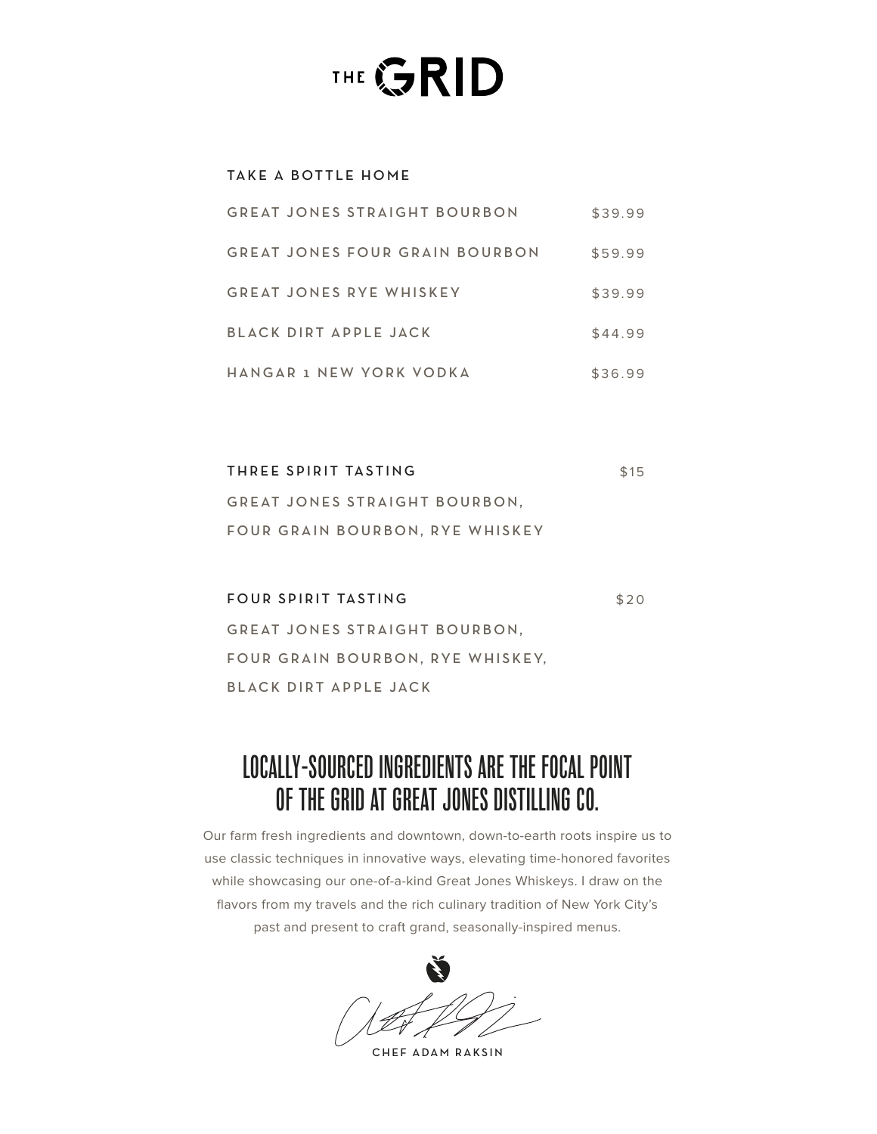# THE GRID

# TAKE A BOTTLE HOME

| GREAT JONES STRAIGHT BOURBON          | \$39.99 |
|---------------------------------------|---------|
| <b>GREAT JONES FOUR GRAIN BOURBON</b> | \$59.99 |
| GREAT JONES RYE WHISKEY               | \$39.99 |
| BLACK DIRT APPLE JACK                 | \$44.99 |
| HANGAR 1 NEW YORK VODKA               | \$36.99 |

| THREE SPIRIT TASTING            | \$15 |
|---------------------------------|------|
| GREAT JONES STRAIGHT BOURBON.   |      |
| FOUR GRAIN BOURBON, RYE WHISKEY |      |

FOUR SPIRIT TASTING GREAT JONES STRAIGHT BOURBON, FOUR GRAIN BOURBON, RYE WHISKEY, BLACK DIRT APPLE JACK \$20

# LOCALLY-SOURCED INGREDIENTS ARE THE FOCAL POINT OF THE GRID AT GREAT JONES DISTILLING CO.

Our farm fresh ingredients and downtown, down-to-earth roots inspire us to use classic techniques in innovative ways, elevating time-honored favorites while showcasing our one-of-a-kind Great Jones Whiskeys. I draw on the flavors from my travels and the rich culinary tradition of New York City's past and present to craft grand, seasonally-inspired menus.